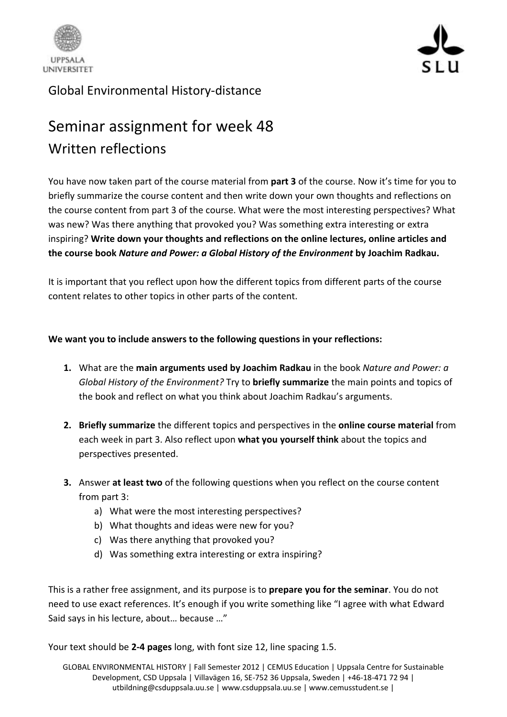



## Global Environmental History-distance

## Seminar assignment for week 48 Written reflections

You have now taken part of the course material from **part 3** of the course. Now it's time for you to briefly summarize the course content and then write down your own thoughts and reflections on the course content from part 3 of the course. What were the most interesting perspectives? What was new? Was there anything that provoked you? Was something extra interesting or extra inspiring? **Write down your thoughts and reflections on the online lectures, online articles and the course book** *Nature and Power: a Global History of the Environment* **by Joachim Radkau.**

It is important that you reflect upon how the different topics from different parts of the course content relates to other topics in other parts of the content.

## **We want you to include answers to the following questions in your reflections:**

- **1.** What are the **main arguments used by Joachim Radkau** in the book *Nature and Power: a Global History of the Environment?* Try to **briefly summarize** the main points and topics of the book and reflect on what you think about Joachim Radkau's arguments.
- **2. Briefly summarize** the different topics and perspectives in the **online course material** from each week in part 3. Also reflect upon **what you yourself think** about the topics and perspectives presented.
- **3.** Answer **at least two** of the following questions when you reflect on the course content from part 3:
	- a) What were the most interesting perspectives?
	- b) What thoughts and ideas were new for you?
	- c) Was there anything that provoked you?
	- d) Was something extra interesting or extra inspiring?

This is a rather free assignment, and its purpose is to **prepare you for the seminar**. You do not need to use exact references. It's enough if you write something like "I agree with what Edward Said says in his lecture, about… because …"

Your text should be **2-4 pages** long, with font size 12, line spacing 1.5.